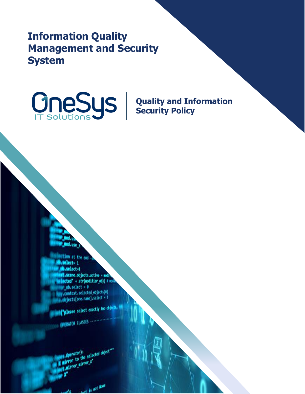**Information Quality Management and Security System**

**Quality and Information Security Policy**

100 at the end -a select-1 .select-1 t.scene.objects.active - modify lected" + str(modifier\_ob)) # modi  $\bullet$  ob. select =  $0$ context.selected\_objects[0] bjects[one.name].select - 1

"Please select exactly two objects,

**ERATOR CLASSES .....** 

sirror to the search

Lost is not None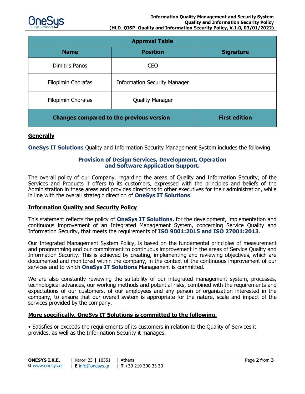

| <b>Approval Table</b>                           |                                     |                      |
|-------------------------------------------------|-------------------------------------|----------------------|
| <b>Name</b>                                     | <b>Position</b>                     | <b>Signature</b>     |
| <b>Dimitris Panos</b>                           | <b>CEO</b>                          |                      |
| Filopimin Chorafas                              | <b>Information Security Manager</b> |                      |
| Filopimin Chorafas                              | <b>Quality Manager</b>              |                      |
| <b>Changes compared to the previous version</b> |                                     | <b>First edition</b> |

### **Generally**

**OneSys IT Solutions** Quality and Information Security Management System includes the following.

#### **Provision of Design Services, Development, Operation and Software Application Support.**

The overall policy of our Company, regarding the areas of Quality and Information Security, of the Services and Products it offers to its customers, expressed with the principles and beliefs of the Administration in these areas and provides directions to other executives for their administration, while in line with the overall strategic direction of **OneSys IT Solutions**.

## **Information Quality and Security Policy**

This statement reflects the policy of **OneSys IT Solutions**, for the development, implementation and continuous improvement of an Integrated Management System, concerning Service Quality and Information Security, that meets the requirements of **ISO 9001:2015 and ISO 27001:2013**.

Our Integrated Management System Policy, is based on the fundamental principles of measurement and programming and our commitment to continuous improvement in the areas of Service Quality and Information Security. This is achieved by creating, implementing and reviewing objectives, which are documented and monitored within the company, in the context of the continuous improvement of our services and to which **OneSys IT Solutions** Management is committed.

We are also constantly reviewing the suitability of our integrated management system, processes, technological advances, our working methods and potential risks, combined with the requirements and expectations of our customers, of our employees and any person or organization interested in the company, to ensure that our overall system is appropriate for the nature, scale and impact of the services provided by the company.

#### **More specifically, OneSys IT Solutions is committed to the following.**

• Satisfies or exceeds the requirements of its customers in relation to the Quality of Services it provides, as well as the Information Security it manages.